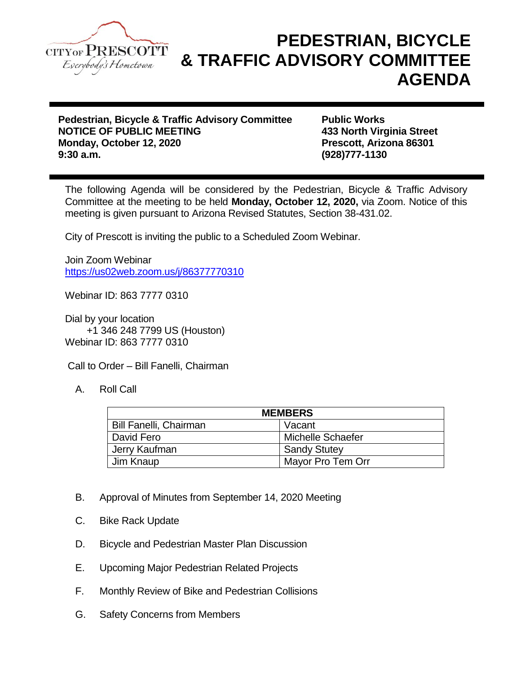

## **PEDESTRIAN, BICYCLE & TRAFFIC ADVISORY COMMITTEE AGENDA**

**Pedestrian, Bicycle & Traffic Advisory Committee Public Works NOTICE OF PUBLIC MEETING 433 North Virginia Street Monday, October 12, 2020 Prescott, Arizona 86301 9:30 a.m. (928)777-1130**

The following Agenda will be considered by the Pedestrian, Bicycle & Traffic Advisory Committee at the meeting to be held **Monday, October 12, 2020,** via Zoom. Notice of this meeting is given pursuant to Arizona Revised Statutes, Section 38-431.02.

City of Prescott is inviting the public to a Scheduled Zoom Webinar.

Join Zoom Webinar <https://us02web.zoom.us/j/86377770310>

Webinar ID: 863 7777 0310

Dial by your location +1 346 248 7799 US (Houston) Webinar ID: 863 7777 0310

Call to Order – Bill Fanelli, Chairman

A. Roll Call

| <b>MEMBERS</b>                |                     |
|-------------------------------|---------------------|
| <b>Bill Fanelli, Chairman</b> | Vacant              |
| David Fero                    | Michelle Schaefer   |
| Jerry Kaufman                 | <b>Sandy Stutey</b> |
| Jim Knaup                     | Mayor Pro Tem Orr   |

- B. Approval of Minutes from September 14, 2020 Meeting
- C. Bike Rack Update
- D. Bicycle and Pedestrian Master Plan Discussion
- E. Upcoming Major Pedestrian Related Projects
- F. Monthly Review of Bike and Pedestrian Collisions
- G. Safety Concerns from Members